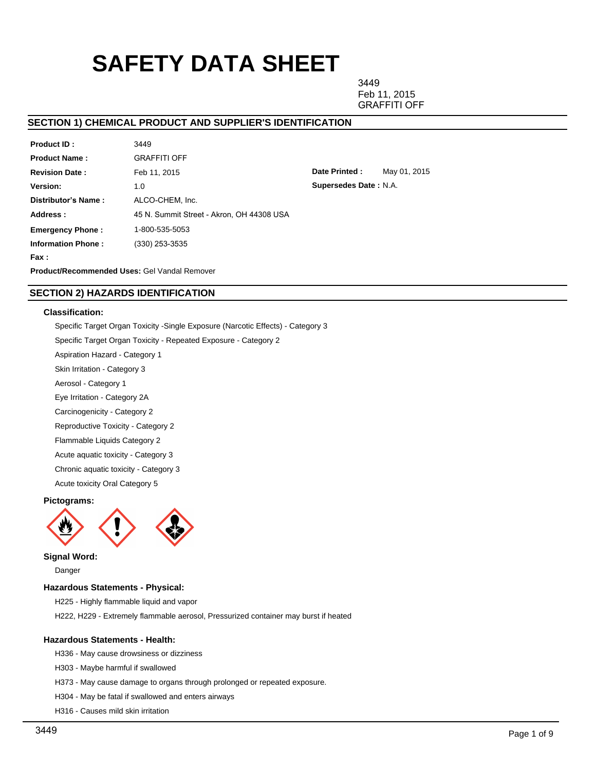# **SAFETY DATA SHEET**

3449 Feb 11, 2015 GRAFFITI OFF

## **SECTION 1) CHEMICAL PRODUCT AND SUPPLIER'S IDENTIFICATION**

| Product ID:                                         | 3449                                      |  |  |  |  |
|-----------------------------------------------------|-------------------------------------------|--|--|--|--|
| <b>Product Name:</b>                                | <b>GRAFFITI OFF</b>                       |  |  |  |  |
| <b>Revision Date:</b>                               | Feb 11, 2015                              |  |  |  |  |
| Version:                                            | 1.0                                       |  |  |  |  |
| Distributor's Name:                                 | ALCO-CHEM. Inc.                           |  |  |  |  |
| Address:                                            | 45 N. Summit Street - Akron. OH 44308 USA |  |  |  |  |
| <b>Emergency Phone:</b>                             | 1-800-535-5053                            |  |  |  |  |
| <b>Information Phone:</b>                           | $(330)$ 253-3535                          |  |  |  |  |
| Fax :                                               |                                           |  |  |  |  |
| <b>Product/Recommended Uses: Gel Vandal Remover</b> |                                           |  |  |  |  |

**Date Printed :** May 01, 2015 **Supersedes Date :** N.A.

# **SECTION 2) HAZARDS IDENTIFICATION**

## **Classification:**

Specific Target Organ Toxicity -Single Exposure (Narcotic Effects) - Category 3

Specific Target Organ Toxicity - Repeated Exposure - Category 2

Aspiration Hazard - Category 1

Skin Irritation - Category 3

Aerosol - Category 1

Eye Irritation - Category 2A

Carcinogenicity - Category 2

Reproductive Toxicity - Category 2

Flammable Liquids Category 2

Acute aquatic toxicity - Category 3

Chronic aquatic toxicity - Category 3

Acute toxicity Oral Category 5

#### **Pictograms:**



**Signal Word:**

Danger

## **Hazardous Statements - Physical:**

H225 - Highly flammable liquid and vapor

H222, H229 - Extremely flammable aerosol, Pressurized container may burst if heated

#### **Hazardous Statements - Health:**

H336 - May cause drowsiness or dizziness

H303 - Maybe harmful if swallowed

H373 - May cause damage to organs through prolonged or repeated exposure.

H304 - May be fatal if swallowed and enters airways

H316 - Causes mild skin irritation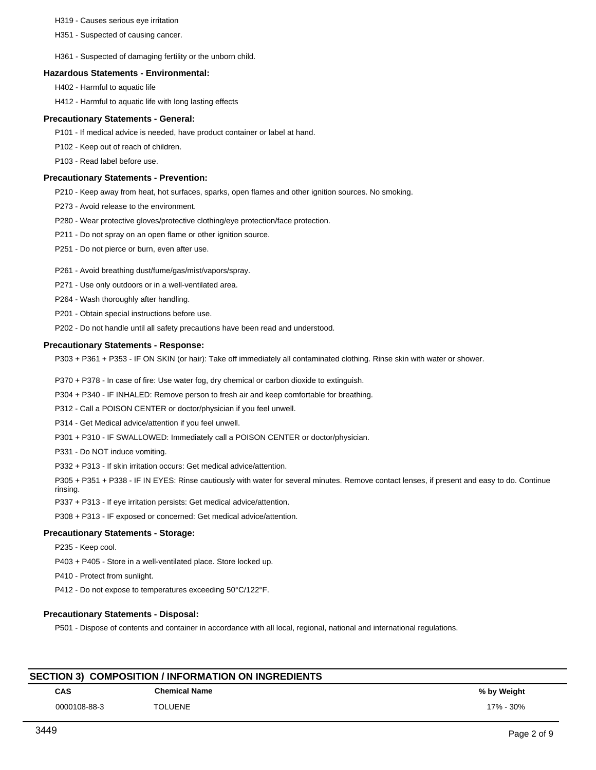H319 - Causes serious eye irritation

H351 - Suspected of causing cancer.

H361 - Suspected of damaging fertility or the unborn child.

#### **Hazardous Statements - Environmental:**

H402 - Harmful to aquatic life

H412 - Harmful to aquatic life with long lasting effects

#### **Precautionary Statements - General:**

P101 - If medical advice is needed, have product container or label at hand.

P102 - Keep out of reach of children.

P103 - Read label before use.

## **Precautionary Statements - Prevention:**

P210 - Keep away from heat, hot surfaces, sparks, open flames and other ignition sources. No smoking.

P273 - Avoid release to the environment.

P280 - Wear protective gloves/protective clothing/eye protection/face protection.

P211 - Do not spray on an open flame or other ignition source.

- P251 Do not pierce or burn, even after use.
- P261 Avoid breathing dust/fume/gas/mist/vapors/spray.
- P271 Use only outdoors or in a well-ventilated area.
- P264 Wash thoroughly after handling.

P201 - Obtain special instructions before use.

P202 - Do not handle until all safety precautions have been read and understood.

#### **Precautionary Statements - Response:**

P303 + P361 + P353 - IF ON SKIN (or hair): Take off immediately all contaminated clothing. Rinse skin with water or shower.

P370 + P378 - In case of fire: Use water fog, dry chemical or carbon dioxide to extinguish.

P304 + P340 - IF INHALED: Remove person to fresh air and keep comfortable for breathing.

P312 - Call a POISON CENTER or doctor/physician if you feel unwell.

P314 - Get Medical advice/attention if you feel unwell.

P301 + P310 - IF SWALLOWED: Immediately call a POISON CENTER or doctor/physician.

P331 - Do NOT induce vomiting.

P332 + P313 - If skin irritation occurs: Get medical advice/attention.

P305 + P351 + P338 - IF IN EYES: Rinse cautiously with water for several minutes. Remove contact lenses, if present and easy to do. Continue rinsing.

P337 + P313 - If eye irritation persists: Get medical advice/attention.

P308 + P313 - IF exposed or concerned: Get medical advice/attention.

## **Precautionary Statements - Storage:**

P235 - Keep cool.

P403 + P405 - Store in a well-ventilated place. Store locked up.

P410 - Protect from sunlight.

P412 - Do not expose to temperatures exceeding 50°C/122°F.

## **Precautionary Statements - Disposal:**

P501 - Dispose of contents and container in accordance with all local, regional, national and international regulations.

| <b>SECTION 3) COMPOSITION / INFORMATION ON INGREDIENTS</b> |                      |             |  |  |  |
|------------------------------------------------------------|----------------------|-------------|--|--|--|
| <b>CAS</b>                                                 | <b>Chemical Name</b> | % by Weight |  |  |  |
| 0000108-88-3                                               | TOI UFNE             | 17% - 30%   |  |  |  |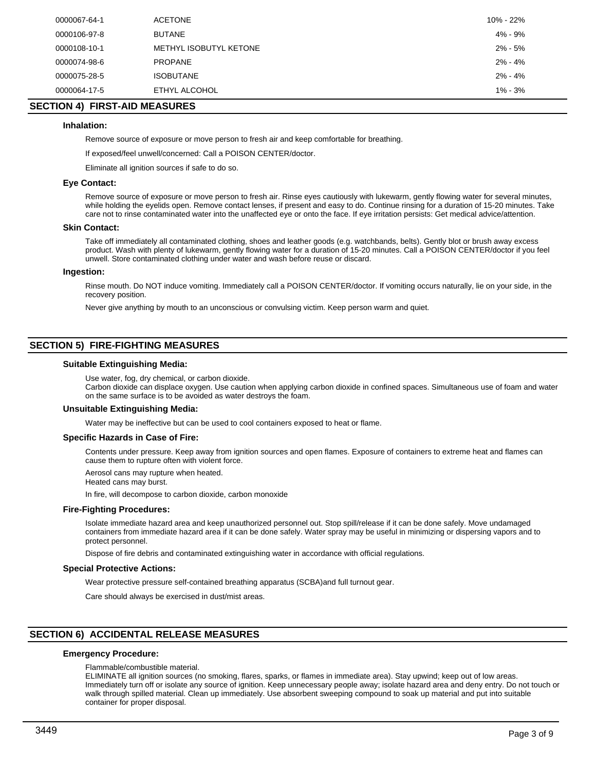| 0000067-64-1 | <b>ACETONE</b>         | 10% - 22%   |
|--------------|------------------------|-------------|
| 0000106-97-8 | <b>BUTANE</b>          | 4% - 9%     |
| 0000108-10-1 | METHYL ISOBUTYL KETONE | $2\% - 5\%$ |
| 0000074-98-6 | <b>PROPANE</b>         | 2% - 4%     |
| 0000075-28-5 | <b>ISOBUTANE</b>       | $2\% - 4\%$ |
| 0000064-17-5 | ETHYL ALCOHOL          | $1\% - 3\%$ |

## **SECTION 4) FIRST-AID MEASURES**

#### **Inhalation:**

Remove source of exposure or move person to fresh air and keep comfortable for breathing.

If exposed/feel unwell/concerned: Call a POISON CENTER/doctor.

Eliminate all ignition sources if safe to do so.

#### **Eye Contact:**

Remove source of exposure or move person to fresh air. Rinse eyes cautiously with lukewarm, gently flowing water for several minutes, while holding the eyelids open. Remove contact lenses, if present and easy to do. Continue rinsing for a duration of 15-20 minutes. Take care not to rinse contaminated water into the unaffected eye or onto the face. If eye irritation persists: Get medical advice/attention.

#### **Skin Contact:**

Take off immediately all contaminated clothing, shoes and leather goods (e.g. watchbands, belts). Gently blot or brush away excess product. Wash with plenty of lukewarm, gently flowing water for a duration of 15-20 minutes. Call a POISON CENTER/doctor if you feel unwell. Store contaminated clothing under water and wash before reuse or discard.

#### **Ingestion:**

Rinse mouth. Do NOT induce vomiting. Immediately call a POISON CENTER/doctor. If vomiting occurs naturally, lie on your side, in the recovery position.

Never give anything by mouth to an unconscious or convulsing victim. Keep person warm and quiet.

## **SECTION 5) FIRE-FIGHTING MEASURES**

#### **Suitable Extinguishing Media:**

Use water, fog, dry chemical, or carbon dioxide.

Carbon dioxide can displace oxygen. Use caution when applying carbon dioxide in confined spaces. Simultaneous use of foam and water on the same surface is to be avoided as water destroys the foam.

#### **Unsuitable Extinguishing Media:**

Water may be ineffective but can be used to cool containers exposed to heat or flame.

#### **Specific Hazards in Case of Fire:**

Contents under pressure. Keep away from ignition sources and open flames. Exposure of containers to extreme heat and flames can cause them to rupture often with violent force.

Aerosol cans may rupture when heated. Heated cans may burst.

In fire, will decompose to carbon dioxide, carbon monoxide

#### **Fire-Fighting Procedures:**

Isolate immediate hazard area and keep unauthorized personnel out. Stop spill/release if it can be done safely. Move undamaged containers from immediate hazard area if it can be done safely. Water spray may be useful in minimizing or dispersing vapors and to protect personnel.

Dispose of fire debris and contaminated extinguishing water in accordance with official regulations.

#### **Special Protective Actions:**

Wear protective pressure self-contained breathing apparatus (SCBA)and full turnout gear.

Care should always be exercised in dust/mist areas.

## **SECTION 6) ACCIDENTAL RELEASE MEASURES**

#### **Emergency Procedure:**

Flammable/combustible material.

ELIMINATE all ignition sources (no smoking, flares, sparks, or flames in immediate area). Stay upwind; keep out of low areas. Immediately turn off or isolate any source of ignition. Keep unnecessary people away; isolate hazard area and deny entry. Do not touch or walk through spilled material. Clean up immediately. Use absorbent sweeping compound to soak up material and put into suitable container for proper disposal.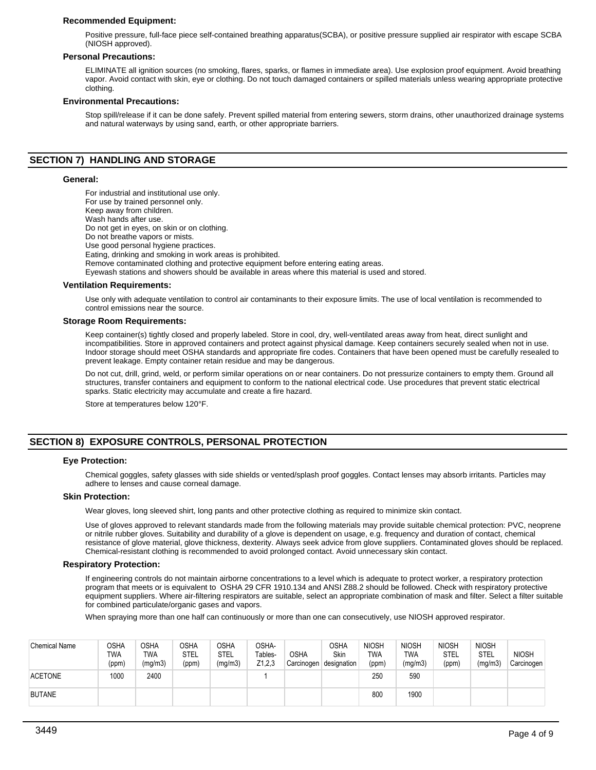## **Recommended Equipment:**

Positive pressure, full-face piece self-contained breathing apparatus(SCBA), or positive pressure supplied air respirator with escape SCBA (NIOSH approved).

#### **Personal Precautions:**

ELIMINATE all ignition sources (no smoking, flares, sparks, or flames in immediate area). Use explosion proof equipment. Avoid breathing vapor. Avoid contact with skin, eye or clothing. Do not touch damaged containers or spilled materials unless wearing appropriate protective clothing.

#### **Environmental Precautions:**

Stop spill/release if it can be done safely. Prevent spilled material from entering sewers, storm drains, other unauthorized drainage systems and natural waterways by using sand, earth, or other appropriate barriers.

## **SECTION 7) HANDLING AND STORAGE**

#### **General:**

For industrial and institutional use only. For use by trained personnel only. Keep away from children. Wash hands after use. Do not get in eyes, on skin or on clothing. Do not breathe vapors or mists. Use good personal hygiene practices. Eating, drinking and smoking in work areas is prohibited. Remove contaminated clothing and protective equipment before entering eating areas. Eyewash stations and showers should be available in areas where this material is used and stored.

#### **Ventilation Requirements:**

Use only with adequate ventilation to control air contaminants to their exposure limits. The use of local ventilation is recommended to control emissions near the source.

#### **Storage Room Requirements:**

Keep container(s) tightly closed and properly labeled. Store in cool, dry, well-ventilated areas away from heat, direct sunlight and incompatibilities. Store in approved containers and protect against physical damage. Keep containers securely sealed when not in use. Indoor storage should meet OSHA standards and appropriate fire codes. Containers that have been opened must be carefully resealed to prevent leakage. Empty container retain residue and may be dangerous.

Do not cut, drill, grind, weld, or perform similar operations on or near containers. Do not pressurize containers to empty them. Ground all structures, transfer containers and equipment to conform to the national electrical code. Use procedures that prevent static electrical sparks. Static electricity may accumulate and create a fire hazard.

Store at temperatures below 120°F.

## **SECTION 8) EXPOSURE CONTROLS, PERSONAL PROTECTION**

#### **Eye Protection:**

Chemical goggles, safety glasses with side shields or vented/splash proof goggles. Contact lenses may absorb irritants. Particles may adhere to lenses and cause corneal damage.

## **Skin Protection:**

Wear gloves, long sleeved shirt, long pants and other protective clothing as required to minimize skin contact.

Use of gloves approved to relevant standards made from the following materials may provide suitable chemical protection: PVC, neoprene or nitrile rubber gloves. Suitability and durability of a glove is dependent on usage, e.g. frequency and duration of contact, chemical resistance of glove material, glove thickness, dexterity. Always seek advice from glove suppliers. Contaminated gloves should be replaced. Chemical-resistant clothing is recommended to avoid prolonged contact. Avoid unnecessary skin contact.

#### **Respiratory Protection:**

If engineering controls do not maintain airborne concentrations to a level which is adequate to protect worker, a respiratory protection program that meets or is equivalent to OSHA 29 CFR 1910.134 and ANSI Z88.2 should be followed. Check with respiratory protective equipment suppliers. Where air-filtering respirators are suitable, select an appropriate combination of mask and filter. Select a filter suitable for combined particulate/organic gases and vapors.

When spraying more than one half can continuously or more than one can consecutively, use NIOSH approved respirator.

| Chemical Name  | OSHA<br><b>TWA</b><br>(ppm) | <b>OSHA</b><br><b>TWA</b><br>(mg/m3) | <b>OSHA</b><br><b>STEL</b><br>(ppm) | <b>OSHA</b><br>STEL<br>(mg/m3) | OSHA-<br>Tables-<br>Z1,2,3 | <b>OSHA</b><br>Carcinogen | OSHA<br>Skin<br>designation | <b>NIOSH</b><br><b>TWA</b><br>(ppm) | <b>NIOSH</b><br>TWA<br>(mg/m3) | <b>NIOSH</b><br>STEL<br>(ppm) | <b>NIOSH</b><br><b>STEL</b><br>(mg/m3) | <b>NIOSH</b><br>Carcinogen |
|----------------|-----------------------------|--------------------------------------|-------------------------------------|--------------------------------|----------------------------|---------------------------|-----------------------------|-------------------------------------|--------------------------------|-------------------------------|----------------------------------------|----------------------------|
| <b>ACETONE</b> | 1000                        | 2400                                 |                                     |                                |                            |                           |                             | 250                                 | 590                            |                               |                                        |                            |
| <b>BUTANE</b>  |                             |                                      |                                     |                                |                            |                           |                             | 800                                 | 1900                           |                               |                                        |                            |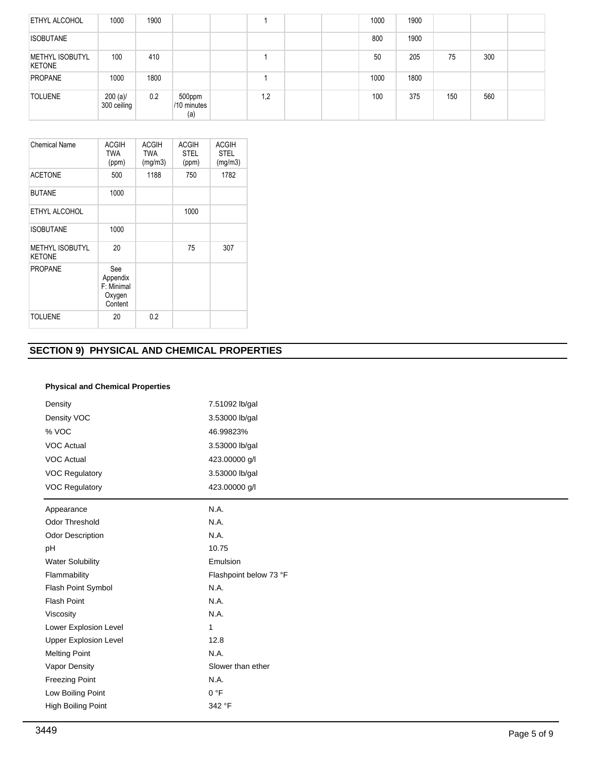| <b>ETHYL ALCOHOL</b>                    | 1000                       | 1900 |                              |     |  | 1000 | 1900 |     |     |  |
|-----------------------------------------|----------------------------|------|------------------------------|-----|--|------|------|-----|-----|--|
| <b>ISOBUTANE</b>                        |                            |      |                              |     |  | 800  | 1900 |     |     |  |
| <b>METHYL ISOBUTYL</b><br><b>KETONE</b> | 100                        | 410  |                              |     |  | 50   | 205  | 75  | 300 |  |
| <b>PROPANE</b>                          | 1000                       | 1800 |                              |     |  | 1000 | 1800 |     |     |  |
| <b>TOLUENE</b>                          | $200 (a)$ /<br>300 ceiling | 0.2  | 500ppm<br>/10 minutes<br>(a) | 1,2 |  | 100  | 375  | 150 | 560 |  |

| Chemical Name                           | <b>ACGIH</b><br><b>TWA</b><br>(ppm)                | <b>ACGIH</b><br><b>TWA</b><br>(mg/m3) | <b>ACGIH</b><br><b>STEL</b><br>(ppm) | <b>ACGIH</b><br><b>STEL</b><br>(mg/m3) |
|-----------------------------------------|----------------------------------------------------|---------------------------------------|--------------------------------------|----------------------------------------|
| <b>ACETONE</b>                          | 500                                                | 1188                                  | 750                                  | 1782                                   |
| <b>BUTANE</b>                           | 1000                                               |                                       |                                      |                                        |
| ETHYL ALCOHOL                           |                                                    |                                       | 1000                                 |                                        |
| <b>ISOBUTANE</b>                        | 1000                                               |                                       |                                      |                                        |
| <b>METHYL ISOBUTYL</b><br><b>KETONE</b> | 20                                                 |                                       | 75                                   | 307                                    |
| <b>PROPANE</b>                          | See<br>Appendix<br>F: Minimal<br>Oxygen<br>Content |                                       |                                      |                                        |
| <b>TOLUENE</b>                          | 20                                                 | 0.2                                   |                                      |                                        |

## **SECTION 9) PHYSICAL AND CHEMICAL PROPERTIES**

## **Physical and Chemical Properties**

| Density                      | 7.51092 lb/gal         |
|------------------------------|------------------------|
| Density VOC                  | 3.53000 lb/gal         |
| % VOC                        | 46.99823%              |
| <b>VOC Actual</b>            | 3.53000 lb/gal         |
| <b>VOC Actual</b>            | 423.00000 g/l          |
| <b>VOC Regulatory</b>        | 3.53000 lb/gal         |
| <b>VOC Regulatory</b>        | 423.00000 g/l          |
| Appearance                   | N.A.                   |
| Odor Threshold               | N.A.                   |
| <b>Odor Description</b>      | N.A.                   |
| pH                           | 10.75                  |
| <b>Water Solubility</b>      | Emulsion               |
| Flammability                 | Flashpoint below 73 °F |
| Flash Point Symbol           | N.A.                   |
| Flash Point                  | N.A.                   |
| Viscosity                    | N.A.                   |
| Lower Explosion Level        | 1                      |
| <b>Upper Explosion Level</b> | 12.8                   |
| <b>Melting Point</b>         | N.A.                   |
| Vapor Density                | Slower than ether      |
| <b>Freezing Point</b>        | N.A.                   |
| Low Boiling Point            | 0 °F                   |
| High Boiling Point           | 342 °F                 |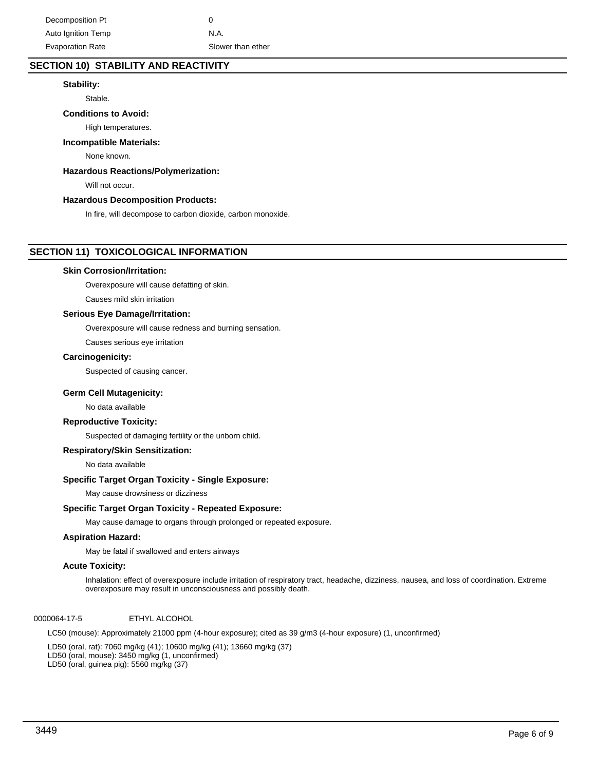## **SECTION 10) STABILITY AND REACTIVITY**

## **Stability:**

Stable.

## **Conditions to Avoid:**

High temperatures.

## **Incompatible Materials:**

None known.

## **Hazardous Reactions/Polymerization:**

Will not occur.

## **Hazardous Decomposition Products:**

In fire, will decompose to carbon dioxide, carbon monoxide.

## **SECTION 11) TOXICOLOGICAL INFORMATION**

## **Skin Corrosion/Irritation:**

Overexposure will cause defatting of skin.

Causes mild skin irritation

## **Serious Eye Damage/Irritation:**

Overexposure will cause redness and burning sensation.

Causes serious eye irritation

## **Carcinogenicity:**

Suspected of causing cancer.

## **Germ Cell Mutagenicity:**

No data available

## **Reproductive Toxicity:**

Suspected of damaging fertility or the unborn child.

## **Respiratory/Skin Sensitization:**

No data available

## **Specific Target Organ Toxicity - Single Exposure:**

May cause drowsiness or dizziness

## **Specific Target Organ Toxicity - Repeated Exposure:**

May cause damage to organs through prolonged or repeated exposure.

## **Aspiration Hazard:**

May be fatal if swallowed and enters airways

## **Acute Toxicity:**

Inhalation: effect of overexposure include irritation of respiratory tract, headache, dizziness, nausea, and loss of coordination. Extreme overexposure may result in unconsciousness and possibly death.

## 0000064-17-5 ETHYL ALCOHOL

LC50 (mouse): Approximately 21000 ppm (4-hour exposure); cited as 39 g/m3 (4-hour exposure) (1, unconfirmed)

LD50 (oral, rat): 7060 mg/kg (41); 10600 mg/kg (41); 13660 mg/kg (37) LD50 (oral, mouse): 3450 mg/kg (1, unconfirmed) LD50 (oral, guinea pig): 5560 mg/kg (37)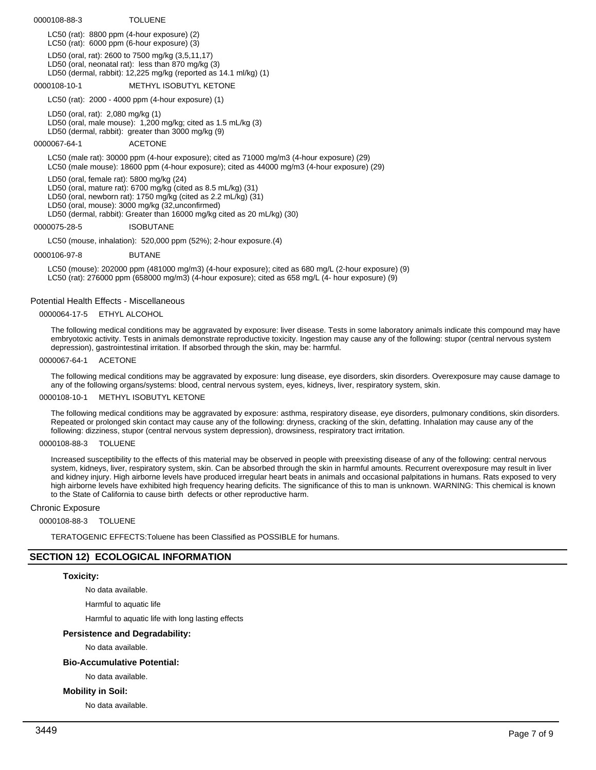## 0000108-88-3 TOLUENE

LC50 (rat): 8800 ppm (4-hour exposure) (2) LC50 (rat): 6000 ppm (6-hour exposure) (3) LD50 (oral, rat): 2600 to 7500 mg/kg (3,5,11,17) LD50 (oral, neonatal rat): less than 870 mg/kg (3) LD50 (dermal, rabbit): 12,225 mg/kg (reported as 14.1 ml/kg) (1)

## 0000108-10-1 METHYL ISOBUTYL KETONE

LC50 (rat): 2000 - 4000 ppm (4-hour exposure) (1)

LD50 (oral, rat): 2,080 mg/kg (1) LD50 (oral, male mouse): 1,200 mg/kg; cited as 1.5 mL/kg (3) LD50 (dermal, rabbit): greater than 3000 mg/kg (9)

0000067-64-1 ACETONE

LC50 (male rat): 30000 ppm (4-hour exposure); cited as 71000 mg/m3 (4-hour exposure) (29) LC50 (male mouse): 18600 ppm (4-hour exposure); cited as 44000 mg/m3 (4-hour exposure) (29)

LD50 (oral, female rat): 5800 mg/kg (24)

LD50 (oral, mature rat): 6700 mg/kg (cited as 8.5 mL/kg) (31)

LD50 (oral, newborn rat): 1750 mg/kg (cited as 2.2 mL/kg) (31)

LD50 (oral, mouse): 3000 mg/kg (32,unconfirmed)

LD50 (dermal, rabbit): Greater than 16000 mg/kg cited as 20 mL/kg) (30)

## 0000075-28-5 ISOBUTANE

LC50 (mouse, inhalation): 520,000 ppm (52%); 2-hour exposure.(4)

0000106-97-8 BUTANE

LC50 (mouse): 202000 ppm (481000 mg/m3) (4-hour exposure); cited as 680 mg/L (2-hour exposure) (9) LC50 (rat): 276000 ppm (658000 mg/m3) (4-hour exposure); cited as 658 mg/L (4- hour exposure) (9)

## Potential Health Effects - Miscellaneous

0000064-17-5 ETHYL ALCOHOL

The following medical conditions may be aggravated by exposure: liver disease. Tests in some laboratory animals indicate this compound may have embryotoxic activity. Tests in animals demonstrate reproductive toxicity. Ingestion may cause any of the following: stupor (central nervous system depression), gastrointestinal irritation. If absorbed through the skin, may be: harmful.

#### 0000067-64-1 ACETONE

The following medical conditions may be aggravated by exposure: lung disease, eye disorders, skin disorders. Overexposure may cause damage to any of the following organs/systems: blood, central nervous system, eyes, kidneys, liver, respiratory system, skin.

## 0000108-10-1 METHYL ISOBUTYL KETONE

The following medical conditions may be aggravated by exposure: asthma, respiratory disease, eye disorders, pulmonary conditions, skin disorders. Repeated or prolonged skin contact may cause any of the following: dryness, cracking of the skin, defatting. Inhalation may cause any of the following: dizziness, stupor (central nervous system depression), drowsiness, respiratory tract irritation.

#### 0000108-88-3 TOLUENE

Increased susceptibility to the effects of this material may be observed in people with preexisting disease of any of the following: central nervous system, kidneys, liver, respiratory system, skin. Can be absorbed through the skin in harmful amounts. Recurrent overexposure may result in liver and kidney injury. High airborne levels have produced irregular heart beats in animals and occasional palpitations in humans. Rats exposed to very high airborne levels have exhibited high frequency hearing deficits. The significance of this to man is unknown. WARNING: This chemical is known to the State of California to cause birth defects or other reproductive harm.

## Chronic Exposure

## 0000108-88-3 TOLUENE

TERATOGENIC EFFECTS:Toluene has been Classified as POSSIBLE for humans.

## **SECTION 12) ECOLOGICAL INFORMATION**

## **Toxicity:**

No data available.

Harmful to aquatic life

Harmful to aquatic life with long lasting effects

## **Persistence and Degradability:**

No data available.

## **Bio-Accumulative Potential:**

No data available.

## **Mobility in Soil:**

No data available.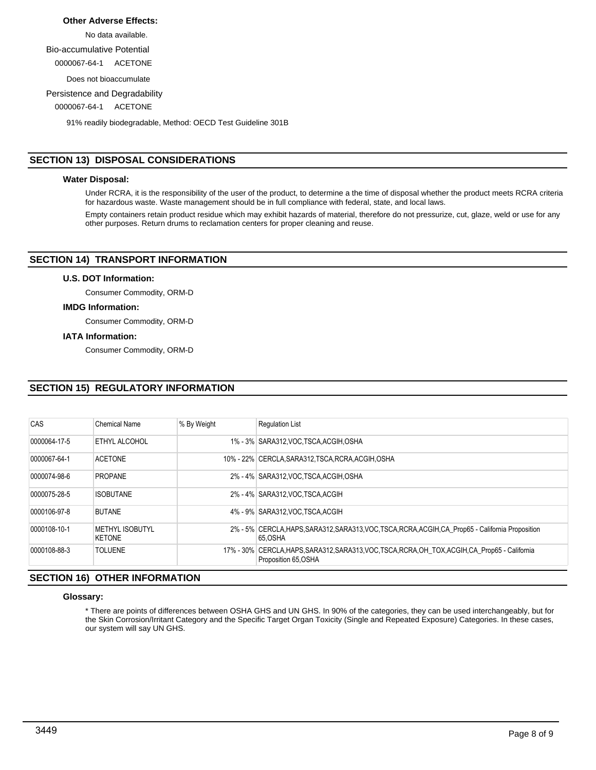## **Other Adverse Effects:**

No data available.

Bio-accumulative Potential

0000067-64-1 ACETONE

Does not bioaccumulate

Persistence and Degradability

0000067-64-1 ACETONE

91% readily biodegradable, Method: OECD Test Guideline 301B

## **SECTION 13) DISPOSAL CONSIDERATIONS**

## **Water Disposal:**

Under RCRA, it is the responsibility of the user of the product, to determine a the time of disposal whether the product meets RCRA criteria for hazardous waste. Waste management should be in full compliance with federal, state, and local laws.

Empty containers retain product residue which may exhibit hazards of material, therefore do not pressurize, cut, glaze, weld or use for any other purposes. Return drums to reclamation centers for proper cleaning and reuse.

## **SECTION 14) TRANSPORT INFORMATION**

## **U.S. DOT Information:**

Consumer Commodity, ORM-D

## **IMDG Information:**

Consumer Commodity, ORM-D

## **IATA Information:**

Consumer Commodity, ORM-D

## **SECTION 15) REGULATORY INFORMATION**

| CAS          | <b>Chemical Name</b>                    | % By Weight | <b>Requlation List</b>                                                                                                  |
|--------------|-----------------------------------------|-------------|-------------------------------------------------------------------------------------------------------------------------|
| 0000064-17-5 | ETHYL ALCOHOL                           |             | 1% - 3% SARA312, VOC, TSCA, ACGIH, OSHA                                                                                 |
| 0000067-64-1 | <b>ACETONE</b>                          |             | 10% - 22% CERCLA, SARA312, TSCA, RCRA, ACGIH, OSHA                                                                      |
| 0000074-98-6 | <b>PROPANE</b>                          |             | 2% - 4% SARA312, VOC, TSCA, ACGIH, OSHA                                                                                 |
| 0000075-28-5 | <b>ISOBUTANE</b>                        |             | 2% - 4% SARA312.VOC TSCA.ACGIH                                                                                          |
| 0000106-97-8 | <b>BUTANE</b>                           |             | 4% - 9% SARA312 VOC TSCA ACGIH                                                                                          |
| 0000108-10-1 | <b>METHYL ISOBUTYL</b><br><b>KETONE</b> |             | 2% - 5% CERCLA, HAPS, SARA312, SARA313, VOC, TSCA, RCRA, ACGIH, CA Prop65 - California Proposition<br>65.OSHA           |
| 0000108-88-3 | <b>TOLUENE</b>                          |             | 17% - 30% CERCLA.HAPS, SARA312, SARA313, VOC, TSCA, RCRA, OH_TOX, ACGIH, CA_Prop65 - California<br>Proposition 65, OSHA |

## **SECTION 16) OTHER INFORMATION**

#### **Glossary:**

\* There are points of differences between OSHA GHS and UN GHS. In 90% of the categories, they can be used interchangeably, but for the Skin Corrosion/Irritant Category and the Specific Target Organ Toxicity (Single and Repeated Exposure) Categories. In these cases, our system will say UN GHS.